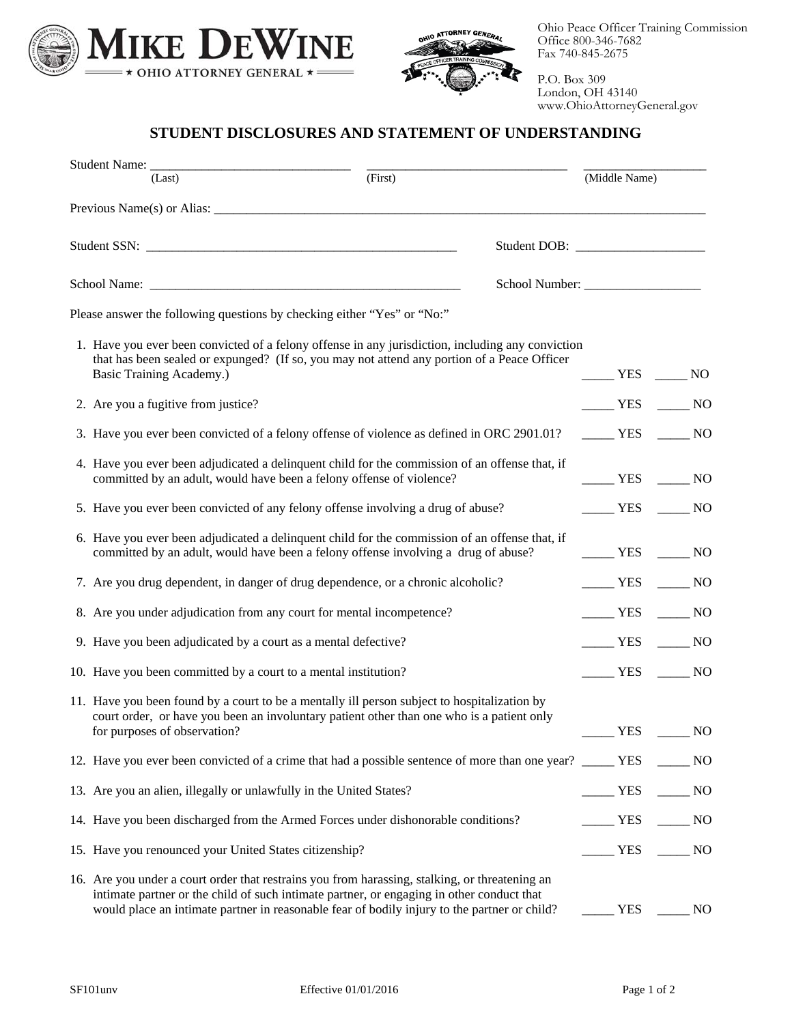



Ohio Peace Officer Training Commission Office 800-346-7682 Fax 740-845-2675

P.O. Box 309 London, OH 43140 www.OhioAttorneyGeneral.gov

## **STUDENT DISCLOSURES AND STATEMENT OF UNDERSTANDING**

| (Last)                                                                                                                                                                                                                                                                                      | (First) | (Middle Name)                                    |                         |
|---------------------------------------------------------------------------------------------------------------------------------------------------------------------------------------------------------------------------------------------------------------------------------------------|---------|--------------------------------------------------|-------------------------|
|                                                                                                                                                                                                                                                                                             |         |                                                  |                         |
|                                                                                                                                                                                                                                                                                             |         |                                                  |                         |
|                                                                                                                                                                                                                                                                                             |         |                                                  |                         |
| Please answer the following questions by checking either "Yes" or "No:"                                                                                                                                                                                                                     |         |                                                  |                         |
| 1. Have you ever been convicted of a felony offense in any jurisdiction, including any conviction<br>that has been sealed or expunged? (If so, you may not attend any portion of a Peace Officer<br>Basic Training Academy.)                                                                |         | $YES$ NO                                         |                         |
| 2. Are you a fugitive from justice?                                                                                                                                                                                                                                                         |         | $YES$ NO                                         |                         |
| 3. Have you ever been convicted of a felony offense of violence as defined in ORC 2901.01?                                                                                                                                                                                                  |         | $YES$ NO                                         |                         |
| 4. Have you ever been adjudicated a delinquent child for the commission of an offense that, if<br>committed by an adult, would have been a felony offense of violence?                                                                                                                      |         | YES NO                                           |                         |
| 5. Have you ever been convicted of any felony offense involving a drug of abuse?                                                                                                                                                                                                            |         | $\frac{1}{1}$ YES $\frac{1}{1}$ NO               |                         |
| 6. Have you ever been adjudicated a delinquent child for the commission of an offense that, if<br>committed by an adult, would have been a felony offense involving a drug of abuse?                                                                                                        |         | $\rule{1em}{0.15mm}$ YES $\rule{1em}{0.15mm}$ NO |                         |
| 7. Are you drug dependent, in danger of drug dependence, or a chronic alcoholic?                                                                                                                                                                                                            |         | $\frac{1}{1}$ YES $\frac{1}{1}$ NO               |                         |
| 8. Are you under adjudication from any court for mental incompetence?                                                                                                                                                                                                                       |         | $TES$ NO                                         |                         |
| 9. Have you been adjudicated by a court as a mental defective?                                                                                                                                                                                                                              |         | $\frac{1}{1}$ YES $\frac{1}{1}$ NO               |                         |
| 10. Have you been committed by a court to a mental institution?                                                                                                                                                                                                                             |         | $\rule{1em}{0.15mm}$ YES $\rule{1em}{0.15mm}$ NO |                         |
| 11. Have you been found by a court to be a mentally ill person subject to hospitalization by<br>court order, or have you been an involuntary patient other than one who is a patient only<br>for purposes of observation?                                                                   |         | <b>YES</b>                                       | NO.                     |
| 12. Have you ever been convicted of a crime that had a possible sentence of more than one year? _____ YES                                                                                                                                                                                   |         |                                                  | $\sim$ NO               |
| 13. Are you an alien, illegally or unlawfully in the United States?                                                                                                                                                                                                                         |         | $\equiv$ YES                                     | $\rule{1em}{0.15mm}$ NO |
| 14. Have you been discharged from the Armed Forces under dishonorable conditions?                                                                                                                                                                                                           |         | $\frac{1}{1}$ YES                                | $\rule{1em}{0.15mm}$ NO |
| 15. Have you renounced your United States citizenship?                                                                                                                                                                                                                                      |         | $\frac{1}{1}$ YES                                | NO                      |
| 16. Are you under a court order that restrains you from harassing, stalking, or threatening an<br>intimate partner or the child of such intimate partner, or engaging in other conduct that<br>would place an intimate partner in reasonable fear of bodily injury to the partner or child? |         | <b>YES</b>                                       | N <sub>O</sub>          |